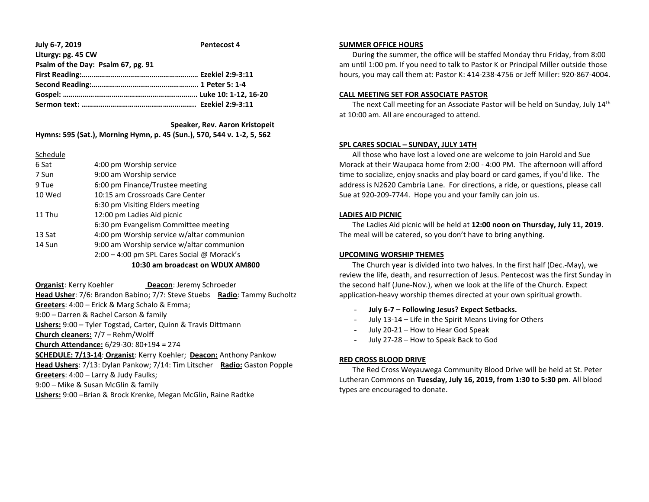**July 6-7, 2019 Pentecost 4 Liturgy: pg. 45 CW Psalm of the Day: Psalm 67, pg. 91 First Reading:…………………………………………………… Ezekiel 2:9-3:11 Second Reading:………………………………………………. 1 Peter 5: 1-4 Gospel: ……….………………………………………………….. Luke 10: 1-12, 16-20 Sermon text: ………………………………………………….. Ezekiel 2:9-3:11**

 **Speaker, Rev. Aaron Kristopeit Hymns: 595 (Sat.), Morning Hymn, p. 45 (Sun.), 570, 544 v. 1-2, 5, 562**

| 6 Sat  | 4:00 pm Worship service                    |
|--------|--------------------------------------------|
| 7 Sun  | 9:00 am Worship service                    |
| 9 Tue  | 6:00 pm Finance/Trustee meeting            |
| 10 Wed | 10:15 am Crossroads Care Center            |
|        | 6:30 pm Visiting Elders meeting            |
| 11 Thu | 12:00 pm Ladies Aid picnic                 |
|        | 6:30 pm Evangelism Committee meeting       |
| 13 Sat | 4:00 pm Worship service w/altar communion  |
| 14 Sun | 9:00 am Worship service w/altar communion  |
|        | 2:00 - 4:00 pm SPL Cares Social @ Morack's |
|        | 10:30 am broadcast on WDUX AM800           |

**Organist:** Kerry Koehler **Deacon**: Jeremy Schroeder **Head Usher**: 7/6: Brandon Babino; 7/7: Steve Stuebs **Radio**: Tammy Bucholtz **Greeters**: 4:00 – Erick & Marg Schalo & Emma; 9:00 – Darren & Rachel Carson & family **Ushers:** 9:00 – Tyler Togstad, Carter, Quinn & Travis Dittmann **Church cleaners:** 7/7 – Rehm/Wolff **Church Attendance:** 6/29-30: 80+194 = 274 **SCHEDULE: 7/13-14**: **Organist**: Kerry Koehler; **Deacon:** Anthony Pankow **Head Ushers**: 7/13: Dylan Pankow; 7/14: Tim Litscher **Radio:** Gaston Popple **Greeters**: 4:00 – Larry & Judy Faulks; 9:00 – Mike & Susan McGlin & family **Ushers:** 9:00 –Brian & Brock Krenke, Megan McGlin, Raine Radtke

## **SUMMER OFFICE HOURS**

 During the summer, the office will be staffed Monday thru Friday, from 8:00 am until 1:00 pm. If you need to talk to Pastor K or Principal Miller outside those hours, you may call them at: Pastor K: 414-238-4756 or Jeff Miller: 920-867-4004.

## **CALL MEETING SET FOR ASSOCIATE PASTOR**

The next Call meeting for an Associate Pastor will be held on Sunday, July 14<sup>th</sup> at 10:00 am. All are encouraged to attend.

# **SPL CARES SOCIAL – SUNDAY, JULY 14TH**

 All those who have lost a loved one are welcome to join Harold and Sue Morack at their Waupaca home from 2:00 - 4:00 PM. The afternoon will afford time to socialize, enjoy snacks and play board or card games, if you'd like. The address is N2620 Cambria Lane. For directions, a ride, or questions, please call Sue at 920-209-7744. Hope you and your family can join us.

#### **LADIES AID PICNIC**

 The Ladies Aid picnic will be held at **12:00 noon on Thursday, July 11, 2019**. The meal will be catered, so you don't have to bring anything.

# **UPCOMING WORSHIP THEMES**

 The Church year is divided into two halves. In the first half (Dec.-May), we review the life, death, and resurrection of Jesus. Pentecost was the first Sunday in the second half (June-Nov.), when we look at the life of the Church. Expect application-heavy worship themes directed at your own spiritual growth.

- **July 6-7 – Following Jesus? Expect Setbacks.**
- July 13-14 Life in the Spirit Means Living for Others
- July 20-21 How to Hear God Speak
- July 27-28 How to Speak Back to God

#### **RED CROSS BLOOD DRIVE**

 The Red Cross Weyauwega Community Blood Drive will be held at St. Peter Lutheran Commons on **Tuesday, July 16, 2019, from 1:30 to 5:30 pm**. All blood types are encouraged to donate.